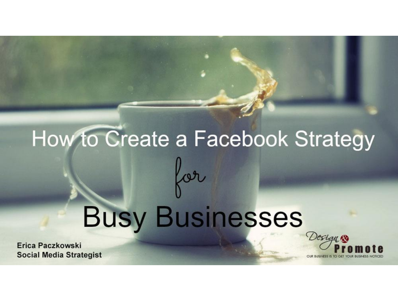# How to Create a Facebook Strategy for **Busy Businesses**

Erica Paczkowski **Social Media Strategist** 

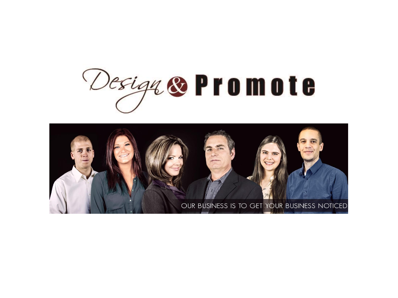

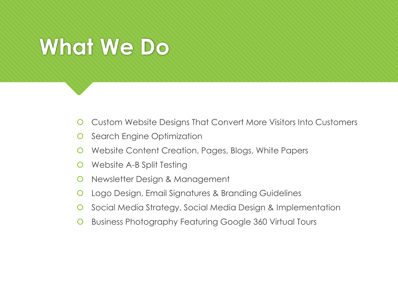#### **What We Do**

- Custom Website Designs That Convert More Visitors Into Customers
- **O** Search Engine Optimization
- Website Content Creation, Pages, Blogs, White Papers
- Website A-B Split Testing
- **O** Newsletter Design & Management
- **O** Logo Design, Email Signatures & Branding Guidelines
- **O** Social Media Strategy, Social Media Design & Implementation
- **O** Business Photography Featuring Google 360 Virtual Tours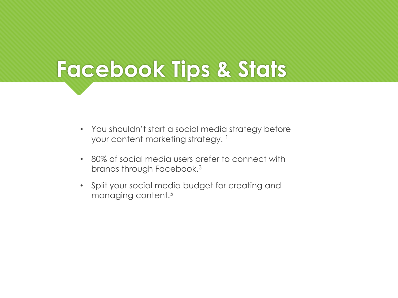#### **Facebook Tips & Stats**

- You shouldn't start a social media strategy before your content marketing strategy. <sup>1</sup>
- 80% of social media users prefer to connect with brands through Facebook.<sup>3</sup>
- Split your social media budget for creating and managing content.5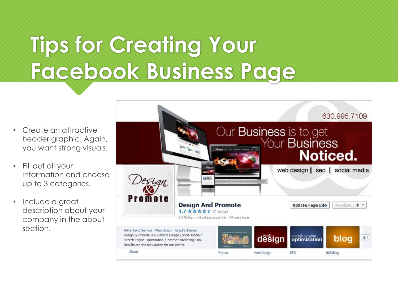### **Tips for Creating Your Facebook Business Page**

- Create an attractive header graphic. Again, you want strong visuals.
- Fill out all your information and choose up to 3 categories.
- Include a great description about your company in the about section.

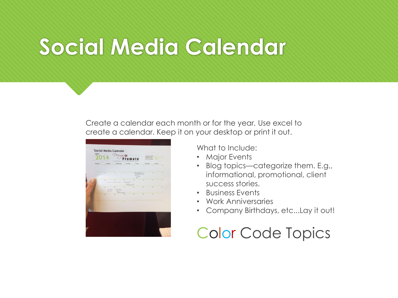#### **Social Media Calendar**

Create a calendar each month or for the year*.* Use excel to create a calendar. Keep it on your desktop or print it out.

|        |                                        |                                                            | CASE BUSINESS IN TO CASE WITH BU |                        |                                             | <b>The</b><br><b>CALIFORNIA MILAN</b><br><b>VOCA</b><br><b>FST DAY OF WEDN</b> |              |
|--------|----------------------------------------|------------------------------------------------------------|----------------------------------|------------------------|---------------------------------------------|--------------------------------------------------------------------------------|--------------|
| Monday | Tuesday<br>٠                           | Wednesday<br>s                                             | Thursday                         | Friday<br>$\mathbb{R}$ | Saturday.<br>×                              | Sonday<br>×                                                                    |              |
|        | ٠                                      | ٠                                                          | $\overline{ }$                   | ERIOMO<br>An-          | * Brancouro: +<br><b>Bar Oving) Stetley</b> | 12                                                                             | $\mathbf{H}$ |
|        | $\overline{12}$                        | 13                                                         | $\overline{14}$                  | $\mathbf{r}$           | ×.                                          | 17                                                                             | $\sim$       |
|        |                                        | throw systems which I supported in                         | <b>Senator</b> Service           |                        |                                             |                                                                                |              |
|        | w<br><b>WARRANT</b><br><b>Stringer</b> | $^{16}$<br>WASHINGTON<br><b>Service</b><br>Toyot treat you | 28                               | $_{22}$                | 22                                          | 34                                                                             | n            |
|        | ×                                      | 27                                                         | $\mathbf{H}$                     | 19                     | w                                           | $\mathbb{R}$                                                                   |              |
|        |                                        |                                                            | <b>MARK</b>                      |                        |                                             |                                                                                |              |
|        |                                        |                                                            |                                  |                        |                                             |                                                                                |              |
|        |                                        |                                                            |                                  |                        |                                             |                                                                                |              |
|        |                                        |                                                            |                                  |                        |                                             |                                                                                |              |

What to Include:

- Major Events
- Blog topics—categorize them. E.g., informational, promotional, client success stories.
- Business Events
- Work Anniversaries
- Company Birthdays, etc...Lay it out!

#### Color Code Topics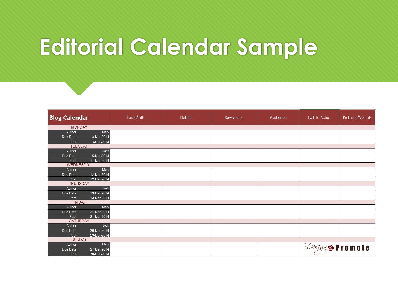#### **Editorial Calendar Sample**

| <b>Blog Calendar</b>                    | Topic/Title | <b>Details</b> | Keywords | Audience | <b>Call To Action</b> | Pictures/Visuals |
|-----------------------------------------|-------------|----------------|----------|----------|-----------------------|------------------|
| <b>MONDAY</b>                           |             |                |          |          |                       |                  |
| Author:<br>Mary                         |             |                |          |          |                       |                  |
| 3-Mar-2014<br>Due Date:                 |             |                |          |          |                       |                  |
| 3-Mar-2014<br>Post:                     |             |                |          |          |                       |                  |
| <b>TUESDAY</b>                          |             |                |          |          |                       |                  |
| Author:<br>Josh                         |             |                |          |          |                       |                  |
| 5-Mar-2014<br>Due Date:                 |             |                |          |          |                       |                  |
| 11-Mar-2014<br>Post:<br>WEDNESDAY       |             |                |          |          |                       |                  |
| Author:<br>Mary                         |             |                |          |          |                       |                  |
| 12-Mar-2014<br>Due Date:                |             |                |          |          |                       |                  |
| 12-Mar-2014<br>Post:                    |             |                |          |          |                       |                  |
| <b>THURSDAY</b>                         |             |                |          |          |                       |                  |
| Author:<br>Josh                         |             |                |          |          |                       |                  |
| 13-Mar-2014<br>Due Date:                |             |                |          |          |                       |                  |
| 13-Mar-2014<br>Post:                    |             |                |          |          |                       |                  |
| <b>FRIDAY</b>                           |             |                |          |          |                       |                  |
| Author:<br>Mary                         |             |                |          |          |                       |                  |
| 21-Mar-2014<br>Due Date:                |             |                |          |          |                       |                  |
| Post:<br>21-Mar-2014<br><b>SATURDAY</b> |             |                |          |          |                       |                  |
| Author:<br>Josh                         |             |                |          |          |                       |                  |
| 26-Mar-2014<br>Due Date:                |             |                |          |          |                       |                  |
| 29-Mar-2014<br>Post:                    |             |                |          |          |                       |                  |
| <b>SUNDAY</b>                           |             |                |          |          |                       |                  |
| Author:<br>Mary                         |             |                |          |          |                       |                  |
| Due Date:<br>27-Mar-2014                |             |                |          |          | Design & Promote      |                  |
| 30-Mar-2014<br>Post:                    |             |                |          |          |                       |                  |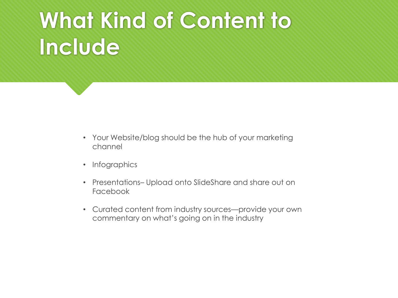#### **What Kind of Content to Include**

- Your Website/blog should be the hub of your marketing channel
- Infographics
- Presentations– Upload onto SlideShare and share out on Facebook
- Curated content from industry sources—provide your own commentary on what's going on in the industry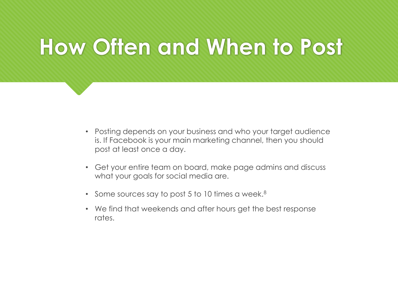#### **How Often and When to Post**

- Posting depends on your business and who your target audience is. If Facebook is your main marketing channel, then you should post at least once a day.
- Get your entire team on board, make page admins and discuss what your goals for social media are.
- Some sources say to post 5 to 10 times a week.<sup>8</sup>
- We find that weekends and after hours get the best response rates.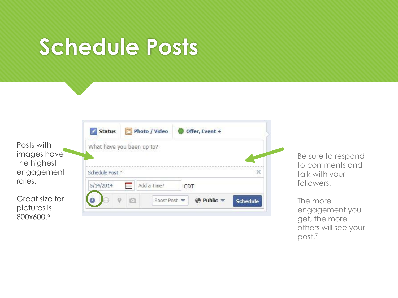#### **Schedule Posts**

| What have yo  |
|---------------|
|               |
| Schedule Post |
| 5/14/2014     |
|               |

Great size for pictures is 800x600.<sup>6</sup>

|               | What have you been up to? |     |  |
|---------------|---------------------------|-----|--|
| Schedule Post |                           |     |  |
|               |                           |     |  |
| 5/14/2014     | Add a Time?               | CDT |  |

 $\blacksquare$ 

Be sure to respond to comments and talk with your followers.

The more engagement you get, the more others will see your post.7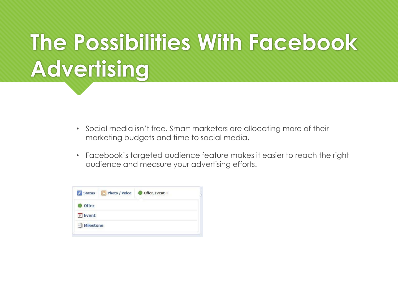## **The Possibilities With Facebook Advertising**

- Social media isn't free. Smart marketers are allocating more of their marketing budgets and time to social media.
- Facebook's targeted audience feature makes it easier to reach the right audience and measure your advertising efforts.

| Photo / Video<br><b>Status</b> | Offer, Event + |
|--------------------------------|----------------|
| <b>Offer</b>                   |                |
| Event<br>31                    |                |
| <b>Milestone</b><br>甲引         |                |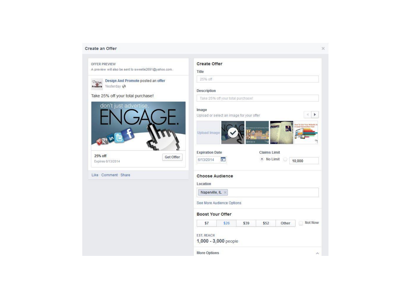#### Create an Offer

| OFFER PREVIEW                                                           | <b>Create Offer</b>                                                                                       |
|-------------------------------------------------------------------------|-----------------------------------------------------------------------------------------------------------|
| A preview will also be sent to sweetie2691@yahoo.com.                   | Title                                                                                                     |
| Design And Promote posted an offer<br>Destan<br>Promoto<br>Yesterday (♪ | 25% off                                                                                                   |
|                                                                         | Description                                                                                               |
| Take 25% off your total purchase!                                       | Take 25% off your total purchase!                                                                         |
| don't just advertise,                                                   | Image<br>r<br>Upload or select an image for your offer                                                    |
| $Q+$ in $\Gamma$                                                        | low To Use Your Website A<br><b>NUMBER</b><br>A Lead Gener<br>$\mathbf{r}$<br><b>Upload Image</b>         |
| 25% off<br>Get Offer<br>Expires 6/13/2014                               | BW2014<br><b>Expiration Date</b><br><b>Claims Limit</b><br>· No Limit<br><b>CP</b><br>6/13/2014<br>10,000 |
| Like - Comment - Share                                                  | <b>Choose Audience</b>                                                                                    |
|                                                                         | Location                                                                                                  |
|                                                                         | Naperville, IL X                                                                                          |
|                                                                         | See More Audience Options                                                                                 |
|                                                                         | <b>Boost Your Offer</b>                                                                                   |
|                                                                         | Not Now<br>\$7<br>\$26<br>\$39<br>\$52<br>Other                                                           |
|                                                                         | <b>EST, REACH</b><br>1,000 - 3,000 people                                                                 |
|                                                                         | More Options<br>$\mathcal{N}$                                                                             |

 $\times$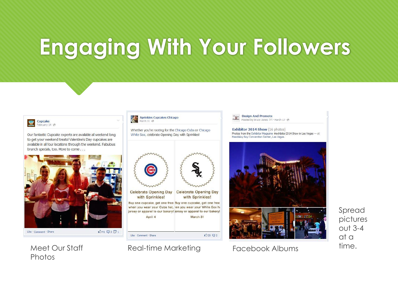### **Engaging With Your Followers**



Meet Our Staff **Photos** 

Cupcake



Sprinkles Cupcakes Chicago

 $\lambda^{\circ}$ 

March 31

Real-time Marketing Facebook Albums

 $25 \nabla$  2

Like Comment Share

**Design And Promote** Posted by Bruce Jones [?] · March 17 @

Exhibitor 2014 Show (16 photos) Photos from the Exhibitor Magazine #exhibitor 2014 Show in Las Vegas - at Mandalay Bay Convention Center, Las Vegas.



Spread pictures out 3-4 at a time.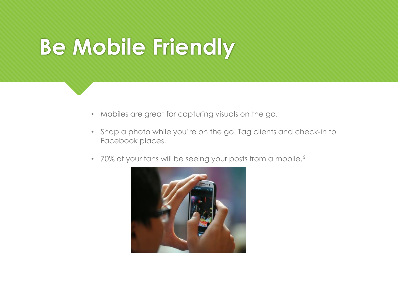#### **Be Mobile Friendly**

- Mobiles are great for capturing visuals on the go.
- Snap a photo while you're on the go. Tag clients and check-in to Facebook places.
- 70% of your fans will be seeing your posts from a mobile.<sup>6</sup>

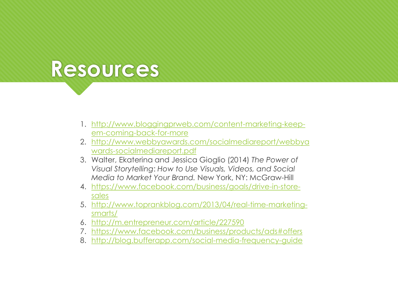#### **Resources**

- 1. [http://www.bloggingprweb.com/content-marketing-keep](http://www.bloggingprweb.com/content-marketing-keep-em-coming-back-for-more)em-coming-back-for-more
- 2. [http://www.webbyawards.com/socialmediareport/webbya](http://www.webbyawards.com/socialmediareport/webbyawards-socialmediareport.pdf) wards-socialmediareport.pdf
- 3. Walter, Ekaterina and Jessica Gioglio (2014) *The Power of Visual Storytelling*: *How to Use Visuals, Videos, and Social Media to Market Your Brand.* New York, NY: McGraw-Hill
- 4. [https://www.facebook.com/business/goals/drive-in-store](https://www.facebook.com/business/goals/drive-in-store-sales)sales
- 5. [http://www.toprankblog.com/2013/04/real-time-marketing](http://www.toprankblog.com/2013/04/real-time-marketing-smarts/)smarts/
- 6. <http://m.entrepreneur.com/article/227590>
- 7. <https://www.facebook.com/business/products/ads#offers>
- 8. <http://blog.bufferapp.com/social-media-frequency-guide>